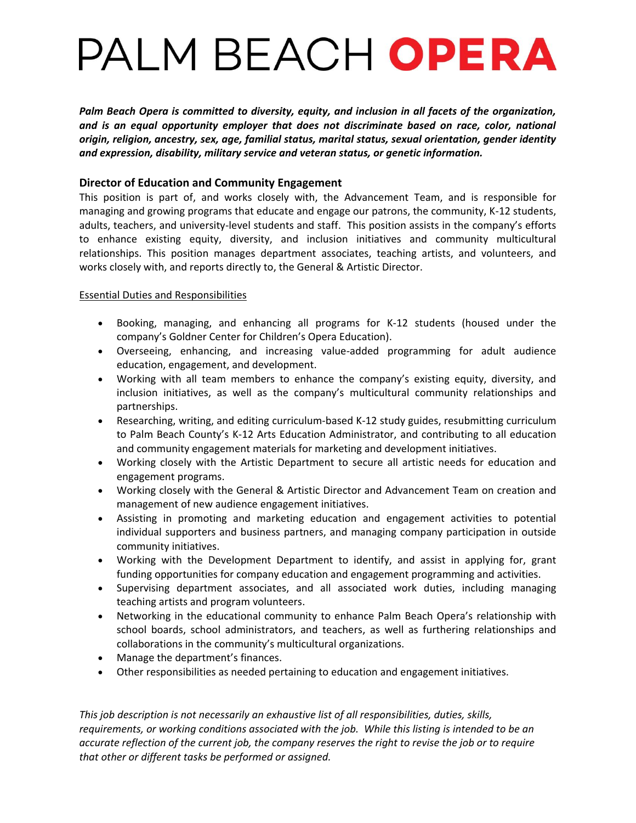## PALM BEACH OPERA

*Palm Beach Opera is committed to diversity, equity, and inclusion in all facets of the organization, and is an equal opportunity employer that does not discriminate based on race, color, national origin, religion, ancestry, sex, age, familial status, marital status, sexual orientation, gender identity and expression, disability, military service and veteran status, or genetic information.*

## **Director of Education and Community Engagement**

This position is part of, and works closely with, the Advancement Team, and is responsible for managing and growing programs that educate and engage our patrons, the community, K-12 students, adults, teachers, and university-level students and staff. This position assists in the company's efforts to enhance existing equity, diversity, and inclusion initiatives and community multicultural relationships. This position manages department associates, teaching artists, and volunteers, and works closely with, and reports directly to, the General & Artistic Director.

## Essential Duties and Responsibilities

- Booking, managing, and enhancing all programs for K-12 students (housed under the company's Goldner Center for Children's Opera Education).
- Overseeing, enhancing, and increasing value-added programming for adult audience education, engagement, and development.
- Working with all team members to enhance the company's existing equity, diversity, and inclusion initiatives, as well as the company's multicultural community relationships and partnerships.
- Researching, writing, and editing curriculum-based K-12 study guides, resubmitting curriculum to Palm Beach County's K-12 Arts Education Administrator, and contributing to all education and community engagement materials for marketing and development initiatives.
- Working closely with the Artistic Department to secure all artistic needs for education and engagement programs.
- Working closely with the General & Artistic Director and Advancement Team on creation and management of new audience engagement initiatives.
- Assisting in promoting and marketing education and engagement activities to potential individual supporters and business partners, and managing company participation in outside community initiatives.
- Working with the Development Department to identify, and assist in applying for, grant funding opportunities for company education and engagement programming and activities.
- Supervising department associates, and all associated work duties, including managing teaching artists and program volunteers.
- Networking in the educational community to enhance Palm Beach Opera's relationship with school boards, school administrators, and teachers, as well as furthering relationships and collaborations in the community's multicultural organizations.
- Manage the department's finances.
- Other responsibilities as needed pertaining to education and engagement initiatives.

*This job description is not necessarily an exhaustive list of all responsibilities, duties, skills, requirements, or working conditions associated with the job. While this listing is intended to be an accurate reflection of the current job, the company reserves the right to revise the job or to require that other or different tasks be performed or assigned.*